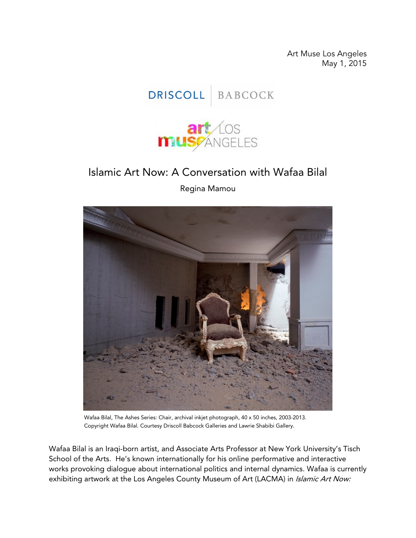Art Muse Los Angeles May 1, 2015





## Islamic Art Now: A Conversation with Wafaa Bilal

Regina Mamou



Wafaa Bilal, The Ashes Series: Chair, archival inkjet photograph, 40 x 50 inches, 2003-2013. Copyright Wafaa Bilal. Courtesy Driscoll Babcock Galleries and Lawrie Shabibi Gallery.

Wafaa Bilal is an Iraqi-born artist, and Associate Arts Professor at New York University's Tisch School of the Arts. He's known internationally for his online performative and interactive works provoking dialogue about international politics and internal dynamics. Wafaa is currently exhibiting artwork at the Los Angeles County Museum of Art (LACMA) in *Islamic Art Now:*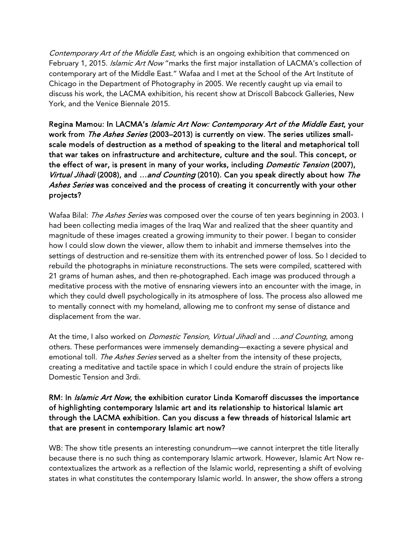Contemporary Art of the Middle East, which is an ongoing exhibition that commenced on February 1, 2015. Islamic Art Now "marks the first major installation of LACMA's collection of contemporary art of the Middle East." Wafaa and I met at the School of the Art Institute of Chicago in the Department of Photography in 2005. We recently caught up via email to discuss his work, the LACMA exhibition, his recent show at Driscoll Babcock Galleries, New York, and the Venice Biennale 2015.

Regina Mamou: In LACMA's *Islamic Art Now: Contemporary Art of the Middle East*, your work from The Ashes Series (2003–2013) is currently on view. The series utilizes smallscale models of destruction as a method of speaking to the literal and metaphorical toll that war takes on infrastructure and architecture, culture and the soul. This concept, or the effect of war, is present in many of your works, including *Domestic Tension* (2007), Virtual Jihadi (2008), and ...and Counting (2010). Can you speak directly about how The Ashes Series was conceived and the process of creating it concurrently with your other projects?

Wafaa Bilal: The Ashes Series was composed over the course of ten years beginning in 2003. I had been collecting media images of the Iraq War and realized that the sheer quantity and magnitude of these images created a growing immunity to their power. I began to consider how I could slow down the viewer, allow them to inhabit and immerse themselves into the settings of destruction and re-sensitize them with its entrenched power of loss. So I decided to rebuild the photographs in miniature reconstructions. The sets were compiled, scattered with 21 grams of human ashes, and then re-photographed. Each image was produced through a meditative process with the motive of ensnaring viewers into an encounter with the image, in which they could dwell psychologically in its atmosphere of loss. The process also allowed me to mentally connect with my homeland, allowing me to confront my sense of distance and displacement from the war.

At the time, I also worked on *Domestic Tension, Virtual Jihadi* and ...and Counting, among others. These performances were immensely demanding—exacting a severe physical and emotional toll. The Ashes Series served as a shelter from the intensity of these projects, creating a meditative and tactile space in which I could endure the strain of projects like Domestic Tension and 3rdi.

## RM: In *Islamic Art Now*, the exhibition curator Linda Komaroff discusses the importance of highlighting contemporary Islamic art and its relationship to historical Islamic art through the LACMA exhibition. Can you discuss a few threads of historical Islamic art that are present in contemporary Islamic art now?

WB: The show title presents an interesting conundrum—we cannot interpret the title literally because there is no such thing as contemporary Islamic artwork. However, Islamic Art Now recontextualizes the artwork as a reflection of the Islamic world, representing a shift of evolving states in what constitutes the contemporary Islamic world. In answer, the show offers a strong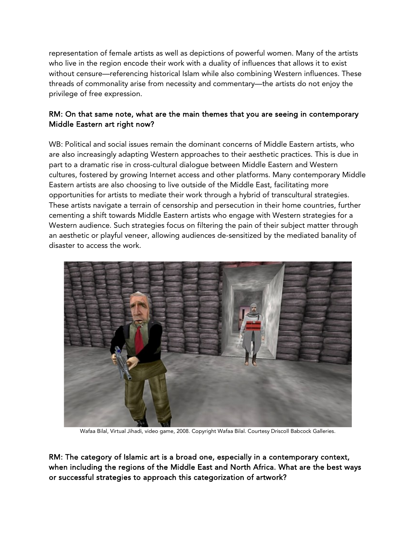representation of female artists as well as depictions of powerful women. Many of the artists who live in the region encode their work with a duality of influences that allows it to exist without censure—referencing historical Islam while also combining Western influences. These threads of commonality arise from necessity and commentary—the artists do not enjoy the privilege of free expression.

## RM: On that same note, what are the main themes that you are seeing in contemporary Middle Eastern art right now?

WB: Political and social issues remain the dominant concerns of Middle Eastern artists, who are also increasingly adapting Western approaches to their aesthetic practices. This is due in part to a dramatic rise in cross-cultural dialogue between Middle Eastern and Western cultures, fostered by growing Internet access and other platforms. Many contemporary Middle Eastern artists are also choosing to live outside of the Middle East, facilitating more opportunities for artists to mediate their work through a hybrid of transcultural strategies. These artists navigate a terrain of censorship and persecution in their home countries, further cementing a shift towards Middle Eastern artists who engage with Western strategies for a Western audience. Such strategies focus on filtering the pain of their subject matter through an aesthetic or playful veneer, allowing audiences de-sensitized by the mediated banality of disaster to access the work.



Wafaa Bilal, Virtual Jihadi, video game, 2008. Copyright Wafaa Bilal. Courtesy Driscoll Babcock Galleries.

RM: The category of Islamic art is a broad one, especially in a contemporary context, when including the regions of the Middle East and North Africa. What are the best ways or successful strategies to approach this categorization of artwork?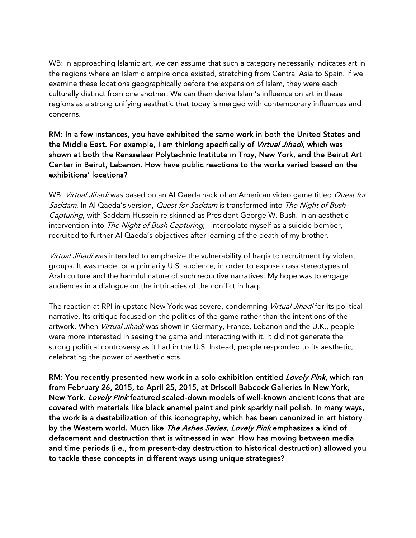WB: In approaching Islamic art, we can assume that such a category necessarily indicates art in the regions where an Islamic empire once existed, stretching from Central Asia to Spain. If we examine these locations geographically before the expansion of Islam, they were each culturally distinct from one another. We can then derive Islam's influence on art in these regions as a strong unifying aesthetic that today is merged with contemporary influences and concerns.

RM: In a few instances, you have exhibited the same work in both the United States and the Middle East. For example, I am thinking specifically of *Virtual Jihadi*, which was shown at both the Rensselaer Polytechnic Institute in Troy, New York, and the Beirut Art Center in Beirut, Lebanon. How have public reactions to the works varied based on the exhibitions' locations?

WB: Virtual Jihadi was based on an Al Qaeda hack of an American video game titled Quest for Saddam. In Al Qaeda's version, Quest for Saddam is transformed into The Night of Bush Capturing, with Saddam Hussein re-skinned as President George W. Bush. In an aesthetic intervention into The Night of Bush Capturing, I interpolate myself as a suicide bomber, recruited to further Al Qaeda's objectives after learning of the death of my brother.

Virtual Jihadi was intended to emphasize the vulnerability of Iraqis to recruitment by violent groups. It was made for a primarily U.S. audience, in order to expose crass stereotypes of Arab culture and the harmful nature of such reductive narratives. My hope was to engage audiences in a dialogue on the intricacies of the conflict in Iraq.

The reaction at RPI in upstate New York was severe, condemning Virtual Jihadi for its political narrative. Its critique focused on the politics of the game rather than the intentions of the artwork. When Virtual Jihadi was shown in Germany, France, Lebanon and the U.K., people were more interested in seeing the game and interacting with it. It did not generate the strong political controversy as it had in the U.S. Instead, people responded to its aesthetic, celebrating the power of aesthetic acts.

RM: You recently presented new work in a solo exhibition entitled Lovely Pink, which ran from February 26, 2015, to April 25, 2015, at Driscoll Babcock Galleries in New York, New York. Lovely Pink featured scaled-down models of well-known ancient icons that are covered with materials like black enamel paint and pink sparkly nail polish. In many ways, the work is a destabilization of this iconography, which has been canonized in art history by the Western world. Much like *The Ashes Series, Lovely Pink* emphasizes a kind of defacement and destruction that is witnessed in war. How has moving between media and time periods (i.e., from present-day destruction to historical destruction) allowed you to tackle these concepts in different ways using unique strategies?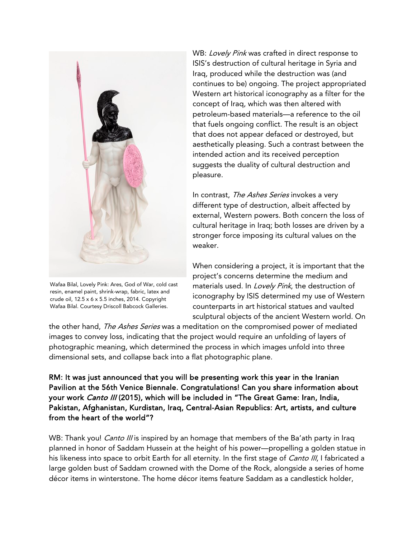

Wafaa Bilal, Lovely Pink: Ares, God of War, cold cast resin, enamel paint, shrink-wrap, fabric, latex and crude oil, 12.5 x 6 x 5.5 inches, 2014. Copyright Wafaa Bilal. Courtesy Driscoll Babcock Galleries.

WB: Lovely Pink was crafted in direct response to ISIS's destruction of cultural heritage in Syria and Iraq, produced while the destruction was (and continues to be) ongoing. The project appropriated Western art historical iconography as a filter for the concept of Iraq, which was then altered with petroleum-based materials—a reference to the oil that fuels ongoing conflict. The result is an object that does not appear defaced or destroyed, but aesthetically pleasing. Such a contrast between the intended action and its received perception suggests the duality of cultural destruction and pleasure.

In contrast, The Ashes Series invokes a very different type of destruction, albeit affected by external, Western powers. Both concern the loss of cultural heritage in Iraq; both losses are driven by a stronger force imposing its cultural values on the weaker.

When considering a project, it is important that the project's concerns determine the medium and materials used. In Lovely Pink, the destruction of iconography by ISIS determined my use of Western counterparts in art historical statues and vaulted sculptural objects of the ancient Western world. On

the other hand, The Ashes Series was a meditation on the compromised power of mediated images to convey loss, indicating that the project would require an unfolding of layers of photographic meaning, which determined the process in which images unfold into three dimensional sets, and collapse back into a flat photographic plane.

RM: It was just announced that you will be presenting work this year in the Iranian Pavilion at the 56th Venice Biennale. Congratulations! Can you share information about your work *Canto III* (2015), which will be included in "The Great Game: Iran, India, Pakistan, Afghanistan, Kurdistan, Iraq, Central-Asian Republics: Art, artists, and culture from the heart of the world"?

WB: Thank you! *Canto III* is inspired by an homage that members of the Ba'ath party in Iraq planned in honor of Saddam Hussein at the height of his power—propelling a golden statue in his likeness into space to orbit Earth for all eternity. In the first stage of *Canto III*, I fabricated a large golden bust of Saddam crowned with the Dome of the Rock, alongside a series of home décor items in winterstone. The home décor items feature Saddam as a candlestick holder,